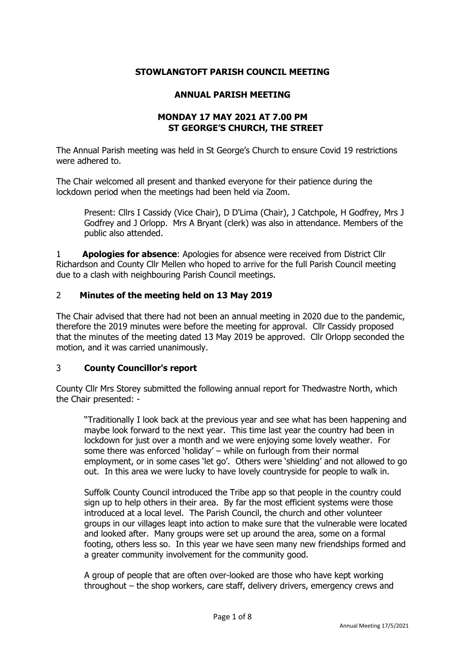### **STOWLANGTOFT PARISH COUNCIL MEETING**

#### **ANNUAL PARISH MEETING**

## **MONDAY 17 MAY 2021 AT 7.00 PM ST GEORGE'S CHURCH, THE STREET**

The Annual Parish meeting was held in St George's Church to ensure Covid 19 restrictions were adhered to.

The Chair welcomed all present and thanked everyone for their patience during the lockdown period when the meetings had been held via Zoom.

Present: Cllrs I Cassidy (Vice Chair), D D'Lima (Chair), J Catchpole, H Godfrey, Mrs J Godfrey and J Orlopp. Mrs A Bryant (clerk) was also in attendance. Members of the public also attended.

1 **Apologies for absence**: Apologies for absence were received from District Cllr Richardson and County Cllr Mellen who hoped to arrive for the full Parish Council meeting due to a clash with neighbouring Parish Council meetings.

### 2 **Minutes of the meeting held on 13 May 2019**

The Chair advised that there had not been an annual meeting in 2020 due to the pandemic, therefore the 2019 minutes were before the meeting for approval. Cllr Cassidy proposed that the minutes of the meeting dated 13 May 2019 be approved. Cllr Orlopp seconded the motion, and it was carried unanimously.

### 3 **County Councillor's report**

County Cllr Mrs Storey submitted the following annual report for Thedwastre North, which the Chair presented: -

"Traditionally I look back at the previous year and see what has been happening and maybe look forward to the next year. This time last year the country had been in lockdown for just over a month and we were enjoying some lovely weather. For some there was enforced 'holiday' – while on furlough from their normal employment, or in some cases 'let go'. Others were 'shielding' and not allowed to go out. In this area we were lucky to have lovely countryside for people to walk in.

Suffolk County Council introduced the Tribe app so that people in the country could sign up to help others in their area. By far the most efficient systems were those introduced at a local level. The Parish Council, the church and other volunteer groups in our villages leapt into action to make sure that the vulnerable were located and looked after. Many groups were set up around the area, some on a formal footing, others less so. In this year we have seen many new friendships formed and a greater community involvement for the community good.

A group of people that are often over-looked are those who have kept working throughout – the shop workers, care staff, delivery drivers, emergency crews and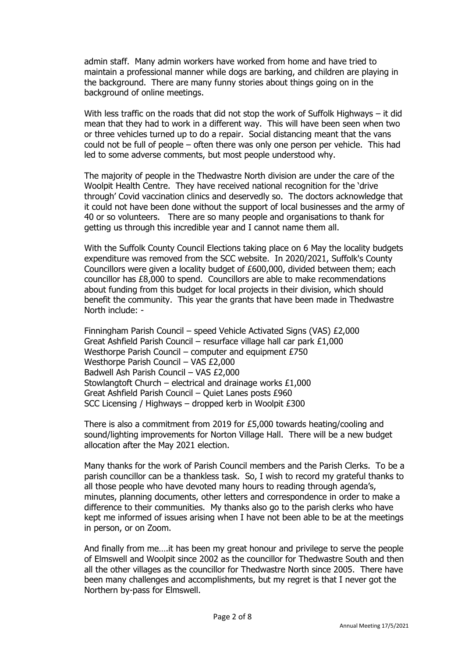admin staff. Many admin workers have worked from home and have tried to maintain a professional manner while dogs are barking, and children are playing in the background. There are many funny stories about things going on in the background of online meetings.

With less traffic on the roads that did not stop the work of Suffolk Highways – it did mean that they had to work in a different way. This will have been seen when two or three vehicles turned up to do a repair. Social distancing meant that the vans could not be full of people – often there was only one person per vehicle. This had led to some adverse comments, but most people understood why.

The majority of people in the Thedwastre North division are under the care of the Woolpit Health Centre. They have received national recognition for the 'drive through' Covid vaccination clinics and deservedly so. The doctors acknowledge that it could not have been done without the support of local businesses and the army of 40 or so volunteers. There are so many people and organisations to thank for getting us through this incredible year and I cannot name them all.

With the Suffolk County Council Elections taking place on 6 May the locality budgets expenditure was removed from the SCC website. In 2020/2021, Suffolk's County Councillors were given a locality budget of £600,000, divided between them; each councillor has £8,000 to spend. Councillors are able to make recommendations about funding from this budget for local projects in their division, which should benefit the community. This year the grants that have been made in Thedwastre North include: -

Finningham Parish Council – speed Vehicle Activated Signs (VAS) £2,000 Great Ashfield Parish Council – resurface village hall car park £1,000 Westhorpe Parish Council – computer and equipment £750 Westhorpe Parish Council – VAS £2,000 Badwell Ash Parish Council – VAS £2,000 Stowlangtoft Church – electrical and drainage works  $£1,000$ Great Ashfield Parish Council – Quiet Lanes posts £960 SCC Licensing / Highways – dropped kerb in Woolpit £300

There is also a commitment from 2019 for £5,000 towards heating/cooling and sound/lighting improvements for Norton Village Hall. There will be a new budget allocation after the May 2021 election.

Many thanks for the work of Parish Council members and the Parish Clerks. To be a parish councillor can be a thankless task. So, I wish to record my grateful thanks to all those people who have devoted many hours to reading through agenda's, minutes, planning documents, other letters and correspondence in order to make a difference to their communities. My thanks also go to the parish clerks who have kept me informed of issues arising when I have not been able to be at the meetings in person, or on Zoom.

And finally from me….it has been my great honour and privilege to serve the people of Elmswell and Woolpit since 2002 as the councillor for Thedwastre South and then all the other villages as the councillor for Thedwastre North since 2005. There have been many challenges and accomplishments, but my regret is that I never got the Northern by-pass for Elmswell.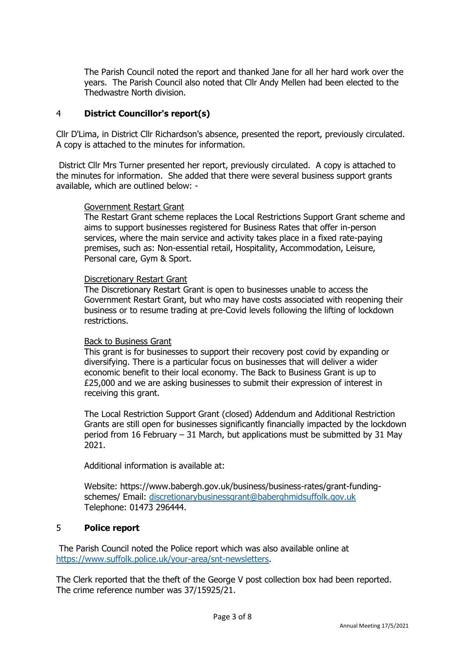The Parish Council noted the report and thanked Jane for all her hard work over the years. The Parish Council also noted that Cllr Andy Mellen had been elected to the Thedwastre North division.

### 4 **District Councillor's report(s)**

Cllr D'Lima, in District Cllr Richardson's absence, presented the report, previously circulated. A copy is attached to the minutes for information.

District Cllr Mrs Turner presented her report, previously circulated. A copy is attached to the minutes for information. She added that there were several business support grants available, which are outlined below: -

#### Government Restart Grant

The Restart Grant scheme replaces the Local Restrictions Support Grant scheme and aims to support businesses registered for Business Rates that offer in-person services, where the main service and activity takes place in a fixed rate-paying premises, such as: Non-essential retail, Hospitality, Accommodation, Leisure, Personal care, Gym & Sport.

#### Discretionary Restart Grant

The Discretionary Restart Grant is open to businesses unable to access the Government Restart Grant, but who may have costs associated with reopening their business or to resume trading at pre-Covid levels following the lifting of lockdown restrictions.

### Back to Business Grant

This grant is for businesses to support their recovery post covid by expanding or diversifying. There is a particular focus on businesses that will deliver a wider economic benefit to their local economy. The Back to Business Grant is up to £25,000 and we are asking businesses to submit their expression of interest in receiving this grant.

The Local Restriction Support Grant (closed) Addendum and Additional Restriction Grants are still open for businesses significantly financially impacted by the lockdown period from 16 February – 31 March, but applications must be submitted by 31 May 2021.

Additional information is available at:

Website: https://www.babergh.gov.uk/business/business-rates/grant-fundingschemes/ Email: [discretionarybusinessgrant@baberghmidsuffolk.gov.uk](mailto:discretionarybusinessgrant@baberghmidsuffolk.gov.uk) Telephone: 01473 296444.

### 5 **Police report**

The Parish Council noted the Police report which was also available online at [https://www.suffolk.police.uk/your-area/snt-newsletters.](https://www.suffolk.police.uk/your-area/snt-newsletters)

The Clerk reported that the theft of the George V post collection box had been reported. The crime reference number was 37/15925/21.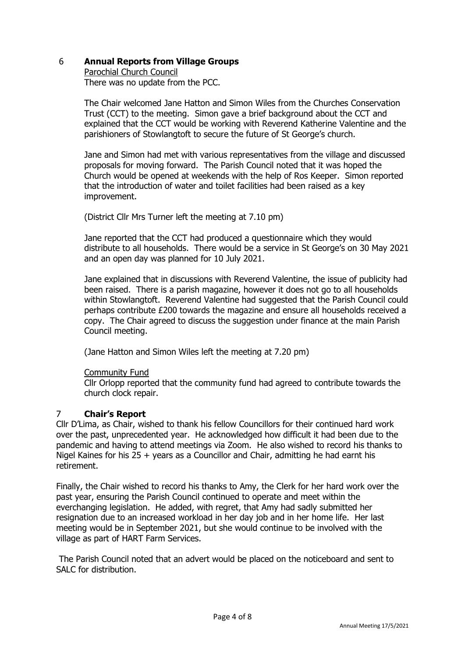## 6 **Annual Reports from Village Groups**

Parochial Church Council There was no update from the PCC.

The Chair welcomed Jane Hatton and Simon Wiles from the Churches Conservation Trust (CCT) to the meeting. Simon gave a brief background about the CCT and explained that the CCT would be working with Reverend Katherine Valentine and the parishioners of Stowlangtoft to secure the future of St George's church.

Jane and Simon had met with various representatives from the village and discussed proposals for moving forward. The Parish Council noted that it was hoped the Church would be opened at weekends with the help of Ros Keeper. Simon reported that the introduction of water and toilet facilities had been raised as a key improvement.

(District Cllr Mrs Turner left the meeting at 7.10 pm)

Jane reported that the CCT had produced a questionnaire which they would distribute to all households. There would be a service in St George's on 30 May 2021 and an open day was planned for 10 July 2021.

Jane explained that in discussions with Reverend Valentine, the issue of publicity had been raised. There is a parish magazine, however it does not go to all households within Stowlangtoft. Reverend Valentine had suggested that the Parish Council could perhaps contribute £200 towards the magazine and ensure all households received a copy. The Chair agreed to discuss the suggestion under finance at the main Parish Council meeting.

(Jane Hatton and Simon Wiles left the meeting at 7.20 pm)

Community Fund

Cllr Orlopp reported that the community fund had agreed to contribute towards the church clock repair.

## 7 **Chair's Report**

Cllr D'Lima, as Chair, wished to thank his fellow Councillors for their continued hard work over the past, unprecedented year. He acknowledged how difficult it had been due to the pandemic and having to attend meetings via Zoom. He also wished to record his thanks to Nigel Kaines for his 25 + years as a Councillor and Chair, admitting he had earnt his retirement.

Finally, the Chair wished to record his thanks to Amy, the Clerk for her hard work over the past year, ensuring the Parish Council continued to operate and meet within the everchanging legislation. He added, with regret, that Amy had sadly submitted her resignation due to an increased workload in her day job and in her home life. Her last meeting would be in September 2021, but she would continue to be involved with the village as part of HART Farm Services.

The Parish Council noted that an advert would be placed on the noticeboard and sent to SALC for distribution.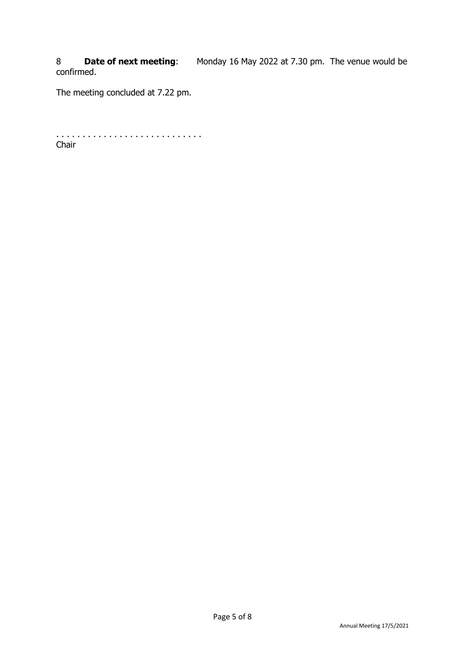8 **Date of next meeting**: Monday 16 May 2022 at 7.30 pm. The venue would be confirmed.

The meeting concluded at 7.22 pm.

. . . . . . . . . . . . . . . . . . . . . . . . . . . . Chair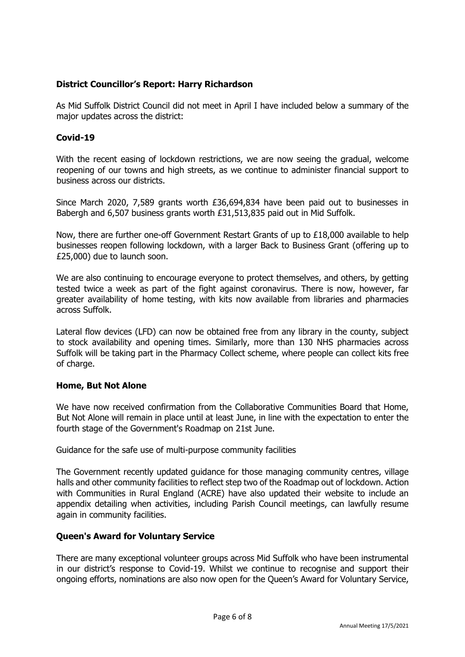## **District Councillor's Report: Harry Richardson**

As Mid Suffolk District Council did not meet in April I have included below a summary of the major updates across the district:

## **Covid-19**

With the recent easing of lockdown restrictions, we are now seeing the gradual, welcome reopening of our towns and high streets, as we continue to administer financial support to business across our districts.

Since March 2020, 7,589 grants worth £36,694,834 have been paid out to businesses in Babergh and 6,507 business grants worth £31,513,835 paid out in Mid Suffolk.

Now, there are further one-off Government Restart Grants of up to £18,000 available to help businesses reopen following lockdown, with a larger Back to Business Grant (offering up to £25,000) due to launch soon.

We are also continuing to encourage everyone to protect themselves, and others, by getting tested twice a week as part of the fight against coronavirus. There is now, however, far greater availability of home testing, with kits now available from libraries and pharmacies across Suffolk.

Lateral flow devices (LFD) can now be obtained free from any library in the county, subject to stock availability and opening times. Similarly, more than 130 NHS pharmacies across Suffolk will be taking part in the Pharmacy Collect scheme, where people can collect kits free of charge.

### **Home, But Not Alone**

We have now received confirmation from the Collaborative Communities Board that Home, But Not Alone will remain in place until at least June, in line with the expectation to enter the fourth stage of the Government's Roadmap on 21st June.

Guidance for the safe use of multi-purpose community facilities

The Government recently updated guidance for those managing community centres, village halls and other community facilities to reflect step two of the Roadmap out of lockdown. Action with Communities in Rural England (ACRE) have also updated their website to include an appendix detailing when activities, including Parish Council meetings, can lawfully resume again in community facilities.

## **Queen's Award for Voluntary Service**

There are many exceptional volunteer groups across Mid Suffolk who have been instrumental in our district's response to Covid-19. Whilst we continue to recognise and support their ongoing efforts, nominations are also now open for the Queen's Award for Voluntary Service,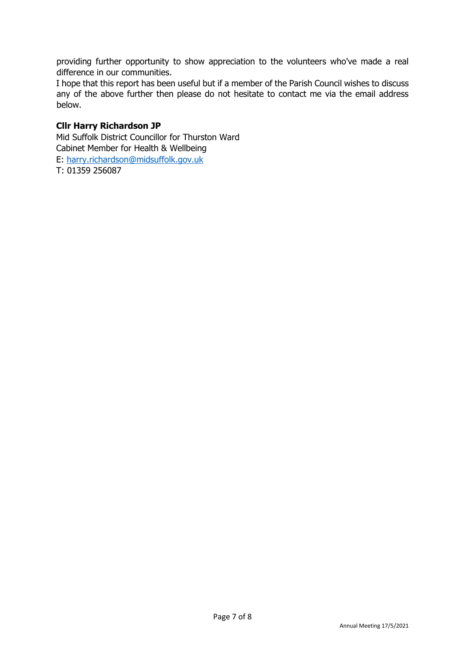providing further opportunity to show appreciation to the volunteers who've made a real difference in our communities.

I hope that this report has been useful but if a member of the Parish Council wishes to discuss any of the above further then please do not hesitate to contact me via the email address below.

### **Cllr Harry Richardson JP**

Mid Suffolk District Councillor for Thurston Ward Cabinet Member for Health & Wellbeing E: [harry.richardson@midsuffolk.gov.uk](mailto:harry.richardson@midsuffolk.gov.uk) T: 01359 256087